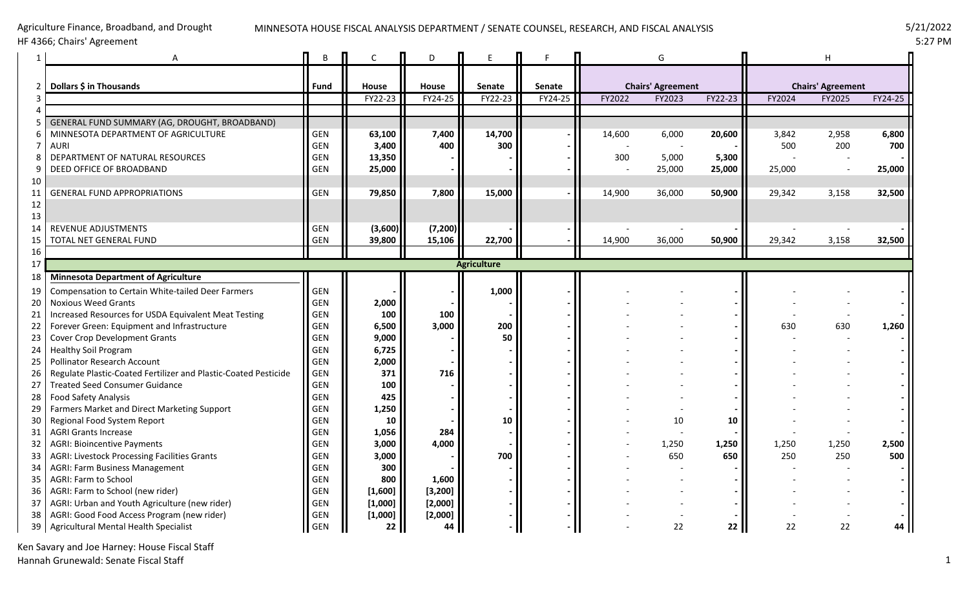### Agriculture Finance, Broadband, and Drought HF 4366; Chairs' Agreement

#### MINNESOTA HOUSE FISCAL ANALYSIS DEPARTMENT / SENATE COUNSEL, RESEARCH, AND FISCAL ANALYSIS 5/21/2022

|          | A                                                                          | B                 | $\mathsf{C}$ | D                  |                    |               |        | G                        |         |                          | н      |         |
|----------|----------------------------------------------------------------------------|-------------------|--------------|--------------------|--------------------|---------------|--------|--------------------------|---------|--------------------------|--------|---------|
|          | 2   Dollars \$ in Thousands                                                | Fund              | House        | House              | <b>Senate</b>      | <b>Senate</b> |        | <b>Chairs' Agreement</b> |         | <b>Chairs' Agreement</b> |        |         |
| 3        |                                                                            |                   | FY22-23      | FY24-25            | FY22-23            | FY24-25       | FY2022 | FY2023                   | FY22-23 | FY2024                   | FY2025 | FY24-25 |
|          |                                                                            |                   |              |                    |                    |               |        |                          |         |                          |        |         |
|          | GENERAL FUND SUMMARY (AG, DROUGHT, BROADBAND)                              |                   |              |                    |                    |               |        |                          |         |                          |        |         |
|          | MINNESOTA DEPARTMENT OF AGRICULTURE                                        | <b>GEN</b>        | 63,100       | 7,400              | 14,700             |               | 14,600 | 6,000                    | 20,600  | 3,842                    | 2,958  | 6,800   |
|          | AURI                                                                       | <b>GEN</b>        | 3,400        | 400                | 300                |               |        |                          |         | 500                      | 200    | 700     |
|          | DEPARTMENT OF NATURAL RESOURCES                                            | <b>GEN</b>        | 13,350       |                    |                    |               | 300    | 5,000                    | 5,300   |                          |        |         |
|          | DEED OFFICE OF BROADBAND                                                   | <b>GEN</b>        | 25,000       |                    |                    |               |        | 25,000                   | 25,000  | 25,000                   |        | 25,000  |
| 10       |                                                                            |                   |              |                    |                    |               |        |                          |         |                          |        |         |
| 11       | <b>GENERAL FUND APPROPRIATIONS</b>                                         | <b>GEN</b>        | 79,850       | 7,800              | 15,000             |               | 14,900 | 36,000                   | 50,900  | 29,342                   | 3,158  | 32,500  |
| 12       |                                                                            |                   |              |                    |                    |               |        |                          |         |                          |        |         |
| 13       |                                                                            |                   |              |                    |                    |               |        |                          |         |                          |        |         |
| 14       | <b>REVENUE ADJUSTMENTS</b>                                                 | <b>GEN</b>        | (3,600)      | (7, 200)<br>15,106 | 22,700             |               |        |                          |         |                          |        |         |
| 15       | TOTAL NET GENERAL FUND                                                     | <b>GEN</b>        | 39,800       |                    |                    |               | 14,900 | 36,000                   | 50,900  | 29,342                   | 3,158  | 32,500  |
| 16       |                                                                            |                   |              |                    |                    |               |        |                          |         |                          |        |         |
| 17       |                                                                            |                   |              |                    | <b>Agriculture</b> |               |        |                          |         |                          |        |         |
| 18       | <b>Minnesota Department of Agriculture</b>                                 |                   |              |                    |                    |               |        |                          |         |                          |        |         |
| 19       | Compensation to Certain White-tailed Deer Farmers                          | GEN               |              |                    | 1,000              |               |        |                          |         |                          |        |         |
| 20       | <b>Noxious Weed Grants</b>                                                 | <b>GEN</b>        | 2,000        |                    |                    |               |        |                          |         |                          |        |         |
| 21       | Increased Resources for USDA Equivalent Meat Testing                       | GEN               | 100          | 100                |                    |               |        |                          |         |                          |        |         |
| 22       | Forever Green: Equipment and Infrastructure                                | <b>GEN</b>        | 6,500        | 3,000              | 200                |               |        |                          |         | 630                      | 630    | 1,260   |
| 23       | Cover Crop Development Grants                                              | <b>GEN</b>        | 9,000        |                    | 50                 |               |        |                          |         |                          |        |         |
| 24       | <b>Healthy Soil Program</b>                                                | <b>GEN</b>        | 6,725        |                    |                    |               |        |                          |         |                          |        |         |
| 25       | Pollinator Research Account                                                | GEN               | 2,000        |                    |                    |               |        |                          |         |                          |        |         |
| 26       | Regulate Plastic-Coated Fertilizer and Plastic-Coated Pesticide            | <b>GEN</b>        | 371          | 716                |                    |               |        |                          |         |                          |        |         |
| 27       | <b>Treated Seed Consumer Guidance</b>                                      | <b>GEN</b><br>GEN | 100<br>425   |                    |                    |               |        |                          |         |                          |        |         |
| 28       | <b>Food Safety Analysis</b>                                                | <b>GEN</b>        |              |                    |                    |               |        |                          |         |                          |        |         |
| 29       | Farmers Market and Direct Marketing Support<br>Regional Food System Report | <b>GEN</b>        | 1,250<br>10  |                    | 10                 |               |        |                          |         |                          |        |         |
| 30<br>31 | <b>AGRI Grants Increase</b>                                                | <b>GEN</b>        | 1,056        | 284                |                    |               |        | 10                       | 10      |                          |        |         |
| 32       | <b>AGRI: Bioincentive Payments</b>                                         | <b>GEN</b>        | 3,000        | 4,000              |                    |               |        | 1,250                    | 1,250   | 1,250                    | 1,250  | 2,500   |
|          | <b>AGRI: Livestock Processing Facilities Grants</b>                        | GEN               | 3,000        |                    | 700                |               |        | 650                      | 650     | 250                      | 250    | 500     |
| 33<br>34 | <b>AGRI: Farm Business Management</b>                                      | <b>GEN</b>        | 300          |                    |                    |               |        |                          |         |                          |        |         |
| 35       | AGRI: Farm to School                                                       | <b>GEN</b>        | 800          | 1,600              |                    |               |        |                          |         |                          |        |         |
| 36       | AGRI: Farm to School (new rider)                                           | <b>GEN</b>        | [1,600]      | [3, 200]           |                    |               |        |                          |         |                          |        |         |
| 37       | AGRI: Urban and Youth Agriculture (new rider)                              | <b>GEN</b>        | [1,000]      | [2,000]            |                    |               |        |                          |         |                          |        |         |
| 38       | AGRI: Good Food Access Program (new rider)                                 | <b>GEN</b>        | [1,000]      | [2,000]            |                    |               |        |                          |         |                          |        |         |
|          | 39   Agricultural Mental Health Specialist                                 | <b>GEN</b>        | 22           | 44                 |                    |               |        | 22                       | 22      | 22                       | 22     |         |
|          |                                                                            |                   |              |                    |                    |               |        |                          |         |                          |        |         |

Ken Savary and Joe Harney: House Fiscal Staff Hannah Grunewald: Senate Fiscal Staff 1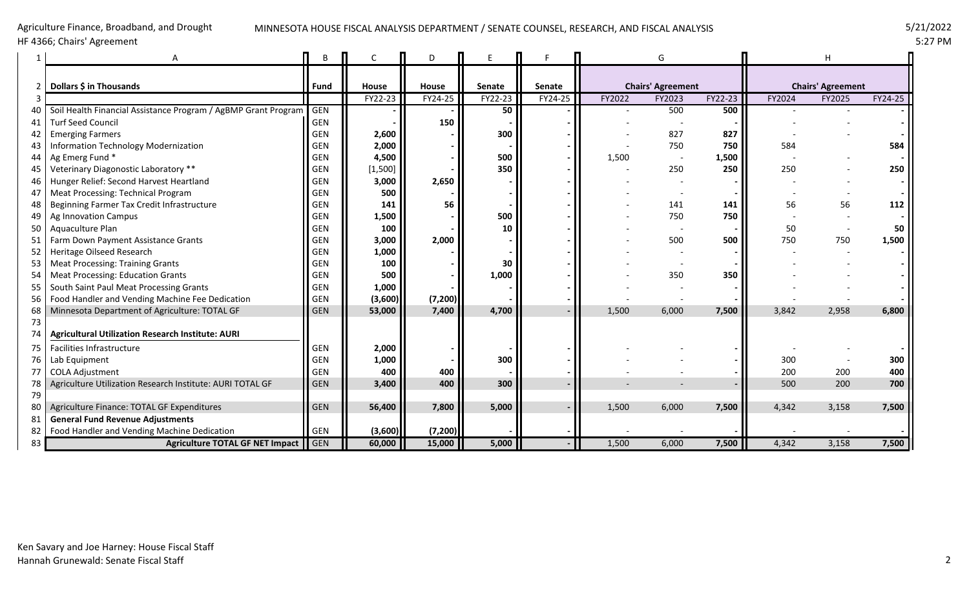# MINNESOTA HOUSE FISCAL ANALYSIS DEPARTMENT / SENATE COUNSEL, RESEARCH, AND FISCAL ANALYSIS 5/21/2022

HF 4366; Chairs' Agreement

Agriculture Finance, Broadband, and Drought

|                 |                                                                |            |         | D        |         |                      |        | G                        |         |        |                          |         |  |
|-----------------|----------------------------------------------------------------|------------|---------|----------|---------|----------------------|--------|--------------------------|---------|--------|--------------------------|---------|--|
|                 |                                                                |            |         |          |         |                      |        |                          |         |        |                          |         |  |
|                 | Dollars \$ in Thousands                                        | Fund       | House   | House    | Senate  | Senate               |        | <b>Chairs' Agreement</b> |         |        | <b>Chairs' Agreement</b> |         |  |
|                 |                                                                |            | FY22-23 | FY24-25  | FY22-23 | $\overline{FY24-25}$ | FY2022 | FY2023                   | FY22-23 | FY2024 | FY2025                   | FY24-25 |  |
|                 | Soil Health Financial Assistance Program / AgBMP Grant Program | <b>GEN</b> |         |          | 50      |                      |        | 500                      | 500     |        |                          |         |  |
| 41              | <b>Turf Seed Council</b>                                       | <b>GEN</b> |         | 150      |         |                      |        |                          |         |        |                          |         |  |
|                 | <b>Emerging Farmers</b>                                        | <b>GEN</b> | 2,600   |          | 300     |                      |        | 827                      | 827     |        |                          |         |  |
| 43              | Information Technology Modernization                           | <b>GEN</b> | 2,000   |          |         |                      |        | 750                      | 750     | 584    |                          | 584     |  |
| 44              | Ag Emerg Fund *                                                | <b>GEN</b> | 4,500   |          | 500     |                      | 1,500  |                          | 1,500   |        |                          |         |  |
| 45              | Veterinary Diagonostic Laboratory **                           | <b>GEN</b> | [1,500] |          | 350     |                      |        | 250                      | 250     | 250    |                          | 250     |  |
| 46              | Hunger Relief: Second Harvest Heartland                        | <b>GEN</b> | 3,000   | 2,650    |         |                      |        |                          |         |        |                          |         |  |
| 47              | Meat Processing: Technical Program                             | <b>GEN</b> | 500     |          |         |                      |        |                          |         |        |                          |         |  |
| 48              | Beginning Farmer Tax Credit Infrastructure                     | <b>GEN</b> | 141     | 56       |         |                      |        | 141                      | 141     | 56     | 56                       | 112     |  |
| 49              | Ag Innovation Campus                                           | <b>GEN</b> | 1,500   |          | 500     |                      |        | 750                      | 750     |        |                          |         |  |
| 50 <sup>1</sup> | Aquaculture Plan                                               | <b>GEN</b> | 100     |          | 10      |                      |        |                          |         | 50     |                          | 50      |  |
| 51              | Farm Down Payment Assistance Grants                            | <b>GEN</b> | 3,000   | 2,000    |         |                      |        | 500                      | 500     | 750    | 750                      | 1,500   |  |
|                 | 52   Heritage Oilseed Research                                 | <b>GEN</b> | 1,000   |          |         |                      |        |                          |         |        |                          |         |  |
| 53              | <b>Meat Processing: Training Grants</b>                        | <b>GEN</b> | 100     |          | 30      |                      |        |                          |         |        |                          |         |  |
| 54              | <b>Meat Processing: Education Grants</b>                       | <b>GEN</b> | 500     |          | 1,000   |                      |        | 350                      | 350     |        |                          |         |  |
|                 | 55   South Saint Paul Meat Processing Grants                   | GEN        | 1,000   |          |         |                      |        |                          |         |        |                          |         |  |
|                 | 56   Food Handler and Vending Machine Fee Dedication           | <b>GEN</b> | (3,600) | (7, 200) |         |                      |        |                          |         |        |                          |         |  |
| 68              | Minnesota Department of Agriculture: TOTAL GF                  | <b>GEN</b> | 53,000  | 7,400    | 4,700   |                      | 1,500  | 6,000                    | 7,500   | 3,842  | 2,958                    | 6,800   |  |
| 73              |                                                                |            |         |          |         |                      |        |                          |         |        |                          |         |  |
| 74              | <b>Agricultural Utilization Research Institute: AURI</b>       |            |         |          |         |                      |        |                          |         |        |                          |         |  |
| 75              | Facilities Infrastructure                                      | <b>GEN</b> | 2,000   |          |         |                      |        |                          |         |        |                          |         |  |
| 76              | Lab Equipment                                                  | <b>GEN</b> | 1,000   |          | 300     |                      |        |                          |         | 300    |                          | 300     |  |
|                 | <b>COLA Adjustment</b>                                         | <b>GEN</b> | 400     | 400      |         |                      |        |                          |         | 200    | 200                      | 400     |  |
| 78              | Agriculture Utilization Research Institute: AURI TOTAL GF      | <b>GEN</b> | 3,400   | 400      | 300     |                      |        |                          |         | 500    | 200                      | 700     |  |
| 79              |                                                                |            |         |          |         |                      |        |                          |         |        |                          |         |  |
| 80              | Agriculture Finance: TOTAL GF Expenditures                     | <b>GEN</b> | 56,400  | 7,800    | 5,000   |                      | 1,500  | 6,000                    | 7,500   | 4,342  | 3,158                    | 7,500   |  |
| 81              | <b>General Fund Revenue Adjustments</b>                        |            |         |          |         |                      |        |                          |         |        |                          |         |  |
| 82              | Food Handler and Vending Machine Dedication                    | GEN        | (3,600) | (7, 200) |         |                      |        |                          |         |        |                          |         |  |
| 83              | Agriculture TOTAL GF NET Impact GEN                            |            | 60,000  | 15,000   | 5,000   |                      | 1,500  | 6,000                    | 7,500   | 4,342  | 3,158                    | 7,500   |  |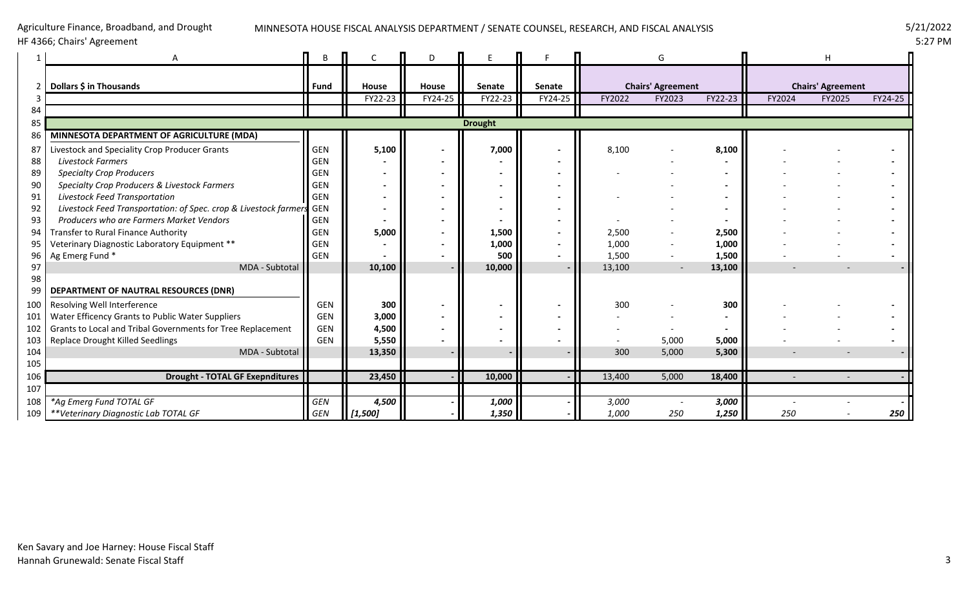# MINNESOTA HOUSE FISCAL ANALYSIS DEPARTMENT / SENATE COUNSEL, RESEARCH, AND FISCAL ANALYSIS 5/21/2022

# HF 4366; Chairs' Agreement

Agriculture Finance, Broadband, and Drought

|            |                                                                      |             |         | D       |                |         |                          | G      |         |        |                          |         |  |
|------------|----------------------------------------------------------------------|-------------|---------|---------|----------------|---------|--------------------------|--------|---------|--------|--------------------------|---------|--|
|            | Dollars \$ in Thousands                                              | <b>Fund</b> | House   | House   | Senate         | Senate  | <b>Chairs' Agreement</b> |        |         |        | <b>Chairs' Agreement</b> |         |  |
|            |                                                                      |             | FY22-23 | FY24-25 | FY22-23        | FY24-25 | FY2022                   | FY2023 | FY22-23 | FY2024 | FY2025                   | FY24-25 |  |
| 84         |                                                                      |             |         |         |                |         |                          |        |         |        |                          |         |  |
| 85         |                                                                      |             |         |         | <b>Drought</b> |         |                          |        |         |        |                          |         |  |
| 86         | MINNESOTA DEPARTMENT OF AGRICULTURE (MDA)                            |             |         |         |                |         |                          |        |         |        |                          |         |  |
| 87         | Livestock and Speciality Crop Producer Grants                        | <b>GEN</b>  | 5,100   |         | 7,000          |         | 8,100                    |        | 8,100   |        |                          |         |  |
| 88         | <b>Livestock Farmers</b>                                             | GEN         |         |         |                |         |                          |        |         |        |                          |         |  |
| 89         | <b>Specialty Crop Producers</b>                                      | GEN         |         |         |                |         |                          |        |         |        |                          |         |  |
| 90         | Specialty Crop Producers & Livestock Farmers                         | <b>GEN</b>  |         |         |                |         |                          |        |         |        |                          |         |  |
| 91         | Livestock Feed Transportation                                        | <b>GEN</b>  |         |         |                |         |                          |        |         |        |                          |         |  |
| 92         | Livestock Feed Transportation: of Spec. crop & Livestock farmers GEN |             |         |         |                |         |                          |        |         |        |                          |         |  |
| 93         | Producers who are Farmers Market Vendors                             | <b>GEN</b>  |         |         |                |         |                          |        |         |        |                          |         |  |
| 94         | Transfer to Rural Finance Authority                                  | GEN         | 5,000   |         | 1,500          |         | 2,500                    |        | 2,500   |        |                          |         |  |
| 95         | Veterinary Diagnostic Laboratory Equipment **                        | GEN         |         |         | 1,000          |         | 1,000                    |        | 1,000   |        |                          |         |  |
| 96         | Ag Emerg Fund *                                                      | <b>GEN</b>  |         |         | 500            |         | 1,500                    |        | 1,500   |        |                          |         |  |
| 97         | MDA - Subtotal                                                       |             | 10,100  |         | 10,000         |         | 13,100                   |        | 13,100  |        |                          |         |  |
| 98         |                                                                      |             |         |         |                |         |                          |        |         |        |                          |         |  |
| 99         | DEPARTMENT OF NAUTRAL RESOURCES (DNR)                                |             |         |         |                |         |                          |        |         |        |                          |         |  |
| $100 \mid$ | Resolving Well Interference                                          | <b>GEN</b>  | 300     |         |                |         | 300                      |        | 300     |        |                          |         |  |
| 101        | Water Efficency Grants to Public Water Suppliers                     | <b>GEN</b>  | 3,000   |         |                |         |                          |        |         |        |                          |         |  |
| 102        | Grants to Local and Tribal Governments for Tree Replacement          | <b>GEN</b>  | 4,500   |         |                |         |                          |        |         |        |                          |         |  |
| 103        | <b>Replace Drought Killed Seedlings</b>                              | <b>GEN</b>  | 5,550   |         |                |         |                          | 5,000  | 5,000   |        |                          |         |  |
| 104        | MDA - Subtotal                                                       |             | 13,350  |         |                |         | 300                      | 5,000  | 5,300   |        |                          |         |  |
| 105        |                                                                      |             |         |         |                |         |                          |        |         |        |                          |         |  |
| 106        | <b>Drought - TOTAL GF Exepnditures</b>                               |             | 23,450  |         | 10,000         |         | 13,400                   | 5,000  | 18,400  |        |                          |         |  |
| 107        |                                                                      |             |         |         |                |         |                          |        |         |        |                          |         |  |
| 108        | *Ag Emerg Fund TOTAL GF                                              | <b>GEN</b>  | 4,500   |         | 1,000          |         | 3,000                    |        | 3,000   |        |                          |         |  |
| 109        | **Veterinary Diagnostic Lab TOTAL GF                                 | <b>GEN</b>  | [1,500] |         | 1,350          |         | 1,000                    | 250    | 1,250   | 250    |                          | 250     |  |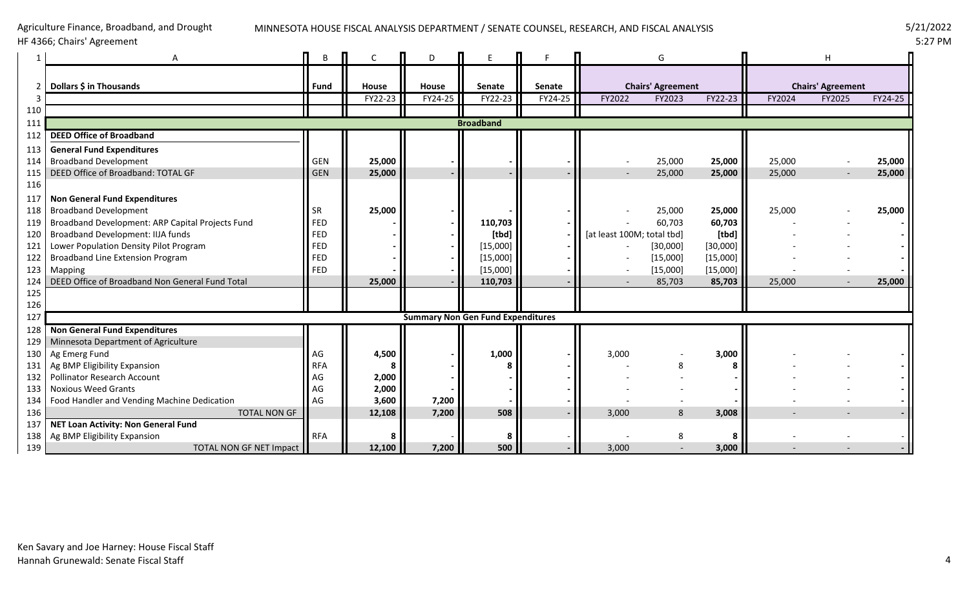# MINNESOTA HOUSE FISCAL ANALYSIS DEPARTMENT / SENATE COUNSEL, RESEARCH, AND FISCAL ANALYSIS 5/21/2022

HF 4366; Chairs' Agreement

Agriculture Finance, Broadband, and Drought

|               | A                                                | B           |         | D       |                                          |         |                            | G        |          |        | н                        |         |  |
|---------------|--------------------------------------------------|-------------|---------|---------|------------------------------------------|---------|----------------------------|----------|----------|--------|--------------------------|---------|--|
| $\mathcal{P}$ | Dollars \$ in Thousands                          | <b>Fund</b> | House   | House   | Senate                                   | Senate  | <b>Chairs' Agreement</b>   |          |          |        | <b>Chairs' Agreement</b> |         |  |
| 3             |                                                  |             | FY22-23 | FY24-25 | FY22-23                                  | FY24-25 | FY2022                     | FY2023   | FY22-23  | FY2024 | FY2025                   | FY24-25 |  |
| 110           |                                                  |             |         |         |                                          |         |                            |          |          |        |                          |         |  |
| 111           |                                                  |             |         |         | <b>Broadband</b>                         |         |                            |          |          |        |                          |         |  |
| 112           | <b>DEED Office of Broadband</b>                  |             |         |         |                                          |         |                            |          |          |        |                          |         |  |
| 113           | <b>General Fund Expenditures</b>                 |             |         |         |                                          |         |                            |          |          |        |                          |         |  |
| 114           | <b>Broadband Development</b>                     | <b>GEN</b>  | 25,000  |         |                                          |         |                            | 25,000   | 25,000   | 25,000 |                          | 25,000  |  |
| 115           | DEED Office of Broadband: TOTAL GF               | <b>GEN</b>  | 25,000  |         |                                          |         |                            | 25,000   | 25,000   | 25,000 | $\overline{\phantom{a}}$ | 25,000  |  |
| 116           |                                                  |             |         |         |                                          |         |                            |          |          |        |                          |         |  |
| 117           | <b>Non General Fund Expenditures</b>             |             |         |         |                                          |         |                            |          |          |        |                          |         |  |
| 118           | <b>Broadband Development</b>                     | <b>SR</b>   | 25,000  |         |                                          |         |                            | 25,000   | 25,000   | 25,000 |                          | 25,000  |  |
| 119           | Broadband Development: ARP Capital Projects Fund | <b>FED</b>  |         |         | 110,703                                  |         |                            | 60,703   | 60,703   |        |                          |         |  |
| 120           | Broadband Development: IIJA funds                | <b>FED</b>  |         |         | [tbd]                                    |         | [at least 100M; total tbd] |          | [tbd]    |        |                          |         |  |
| 121           | Lower Population Density Pilot Program           | <b>FED</b>  |         |         | [15,000]                                 |         |                            | [30,000] | [30,000] |        |                          |         |  |
| 122           | <b>Broadband Line Extension Program</b>          | <b>FED</b>  |         |         | [15,000]                                 |         |                            | [15,000] | [15,000] |        |                          |         |  |
| 123           | Mapping                                          | FED         |         |         | [15,000]                                 |         |                            | [15,000] | [15,000] |        |                          |         |  |
| 124           | DEED Office of Broadband Non General Fund Total  |             | 25,000  |         | 110,703                                  |         |                            | 85,703   | 85,703   | 25,000 |                          | 25,000  |  |
| 125           |                                                  |             |         |         |                                          |         |                            |          |          |        |                          |         |  |
| 126           |                                                  |             |         |         |                                          |         |                            |          |          |        |                          |         |  |
| 127           |                                                  |             |         |         | <b>Summary Non Gen Fund Expenditures</b> |         |                            |          |          |        |                          |         |  |
| 128           | <b>Non General Fund Expenditures</b>             |             |         |         |                                          |         |                            |          |          |        |                          |         |  |
| 129           | Minnesota Department of Agriculture              |             |         |         |                                          |         |                            |          |          |        |                          |         |  |
| 130           | Ag Emerg Fund                                    | AG          | 4,500   |         | 1,000                                    |         | 3,000                      |          | 3,000    |        |                          |         |  |
| 131           | Ag BMP Eligibility Expansion                     | <b>RFA</b>  |         |         |                                          |         |                            |          |          |        |                          |         |  |
| 132           | <b>Pollinator Research Account</b>               | AG          | 2,000   |         |                                          |         |                            |          |          |        |                          |         |  |
| 133           | <b>Noxious Weed Grants</b>                       | AG          | 2,000   |         |                                          |         |                            |          |          |        |                          |         |  |
| 134           | Food Handler and Vending Machine Dedication      | AG          | 3,600   | 7,200   |                                          |         |                            |          |          |        |                          |         |  |
| 136           | <b>TOTAL NON GF</b>                              |             | 12,108  | 7,200   | 508                                      |         | 3,000                      | 8        | 3,008    |        |                          |         |  |
| 137           | <b>NET Loan Activity: Non General Fund</b>       |             |         |         |                                          |         |                            |          |          |        |                          |         |  |
| 138           | Ag BMP Eligibility Expansion                     | <b>RFA</b>  |         |         |                                          |         |                            |          |          |        |                          |         |  |
| 139           | TOTAL NON GF NET Impact                          |             | 12,100  | 7,200   | 500                                      |         | 3,000                      |          | 3,000    |        |                          |         |  |